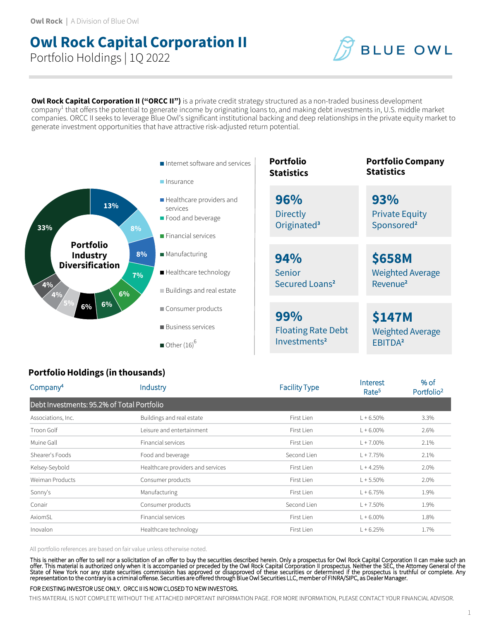# **Owl Rock Capital Corporation II** Portfolio Holdings | 1Q 2022



**Owl Rock Capital Corporation II ("ORCC II")** is a private credit strategy structured as a non-traded business development company<sup>1</sup> that offers the potential to generate income by originating loans to, and making debt investments in, U.S. middle market companies. ORCC II seeks to leverage Blue Owl's significant institutional backing and deep relationships in the private equity market to generate investment opportunities that have attractive risk-adjusted return potential.



## **Portfolio Holdings (in thousands)**

| Company <sup>4</sup>                       | Industry                          | <b>Facility Type</b> | Interest<br>Rate <sup>5</sup> | % of<br>Portfolio <sup>2</sup> |
|--------------------------------------------|-----------------------------------|----------------------|-------------------------------|--------------------------------|
| Debt Investments: 95.2% of Total Portfolio |                                   |                      |                               |                                |
| Associations, Inc.                         | Buildings and real estate         | First Lien           | $L + 6.50%$                   | 3.3%                           |
| Troon Golf                                 | Leisure and entertainment         | First Lien           | $L + 6.00\%$                  | 2.6%                           |
| Muine Gall                                 | Financial services                | First Lien           | $L + 7.00\%$                  | 2.1%                           |
| Shearer's Foods                            | Food and beverage                 | Second Lien          | $L + 7.75%$                   | 2.1%                           |
| Kelsey-Seybold                             | Healthcare providers and services | First Lien           | $L + 4.25%$                   | 2.0%                           |
| Weiman Products                            | Consumer products                 | First Lien           | $L + 5.50\%$                  | 2.0%                           |
| Sonny's                                    | Manufacturing                     | First Lien           | $L + 6.75%$                   | 1.9%                           |
| Conair                                     | Consumer products                 | Second Lien          | $L + 7.50%$                   | 1.9%                           |
| AxiomSL                                    | Financial services                | First Lien           | $L + 6.00\%$                  | 1.8%                           |
| Inovalon                                   | Healthcare technology             | First Lien           | $L + 6.25%$                   | 1.7%                           |

All portfolio references are based on fair value unless otherwise noted.

This is neither an offer to sell nor a solicitation of an offer to buy the securities described herein. Only a prospectus for Owl Rock Capital Corporation II can make such an<br>offer. This material is authorized only when it

#### FOR EXISTING INVESTOR USE ONLY. ORCC II IS NOW CLOSED TO NEW INVESTORS.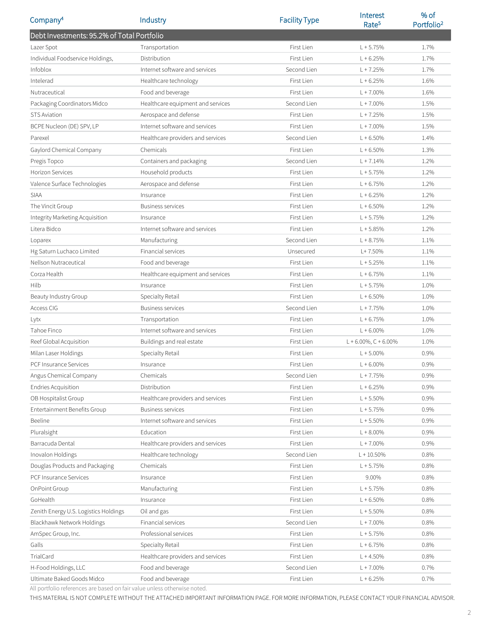| Company <sup>4</sup>                       | Industry                          | <b>Facility Type</b> | Interest<br>Rate <sup>5</sup> | % of<br>Portfolio <sup>2</sup> |
|--------------------------------------------|-----------------------------------|----------------------|-------------------------------|--------------------------------|
| Debt Investments: 95.2% of Total Portfolio |                                   |                      |                               |                                |
| Lazer Spot                                 | Transportation                    | First Lien           | $L + 5.75%$                   | 1.7%                           |
| Individual Foodservice Holdings,           | Distribution                      | First Lien           | $L + 6.25%$                   | 1.7%                           |
| Infoblox                                   | Internet software and services    | Second Lien          | $L + 7.25%$                   | 1.7%                           |
| Intelerad                                  | Healthcare technology             | First Lien           | $L + 6.25%$                   | 1.6%                           |
| Nutraceutical                              | Food and beverage                 | First Lien           | $L + 7.00\%$                  | 1.6%                           |
| Packaging Coordinators Midco               | Healthcare equipment and services | Second Lien          | $L + 7.00\%$                  | 1.5%                           |
| <b>STS Aviation</b>                        | Aerospace and defense             | First Lien           | $L + 7.25%$                   | 1.5%                           |
| BCPE Nucleon (DE) SPV, LP                  | Internet software and services    | First Lien           | $L + 7.00\%$                  | 1.5%                           |
| Parexel                                    | Healthcare providers and services | Second Lien          | $L + 6.50%$                   | 1.4%                           |
| Gaylord Chemical Company                   | Chemicals                         | First Lien           | $L + 6.50%$                   | 1.3%                           |
| Pregis Topco                               | Containers and packaging          | Second Lien          | $L + 7.14%$                   | 1.2%                           |
| Horizon Services                           | Household products                | First Lien           | $L + 5.75%$                   | 1.2%                           |
| Valence Surface Technologies               | Aerospace and defense             | First Lien           | $L + 6.75%$                   | 1.2%                           |
| <b>SIAA</b>                                | Insurance                         | First Lien           | $L + 6.25%$                   | 1.2%                           |
| The Vincit Group                           | <b>Business services</b>          | First Lien           | $L + 6.50%$                   | 1.2%                           |
| Integrity Marketing Acquisition            | Insurance                         | First Lien           | $L + 5.75%$                   | 1.2%                           |
| Litera Bidco                               | Internet software and services    | First Lien           | $L + 5.85%$                   | 1.2%                           |
| Loparex                                    | Manufacturing                     | Second Lien          | $L + 8.75%$                   | 1.1%                           |
| Hg Saturn Luchaco Limited                  | Financial services                | Unsecured            | $L+7.50%$                     | 1.1%                           |
| Nellson Nutraceutical                      | Food and beverage                 | First Lien           | $L + 5.25%$                   | 1.1%                           |
| Corza Health                               | Healthcare equipment and services | First Lien           | $L + 6.75%$                   | 1.1%                           |
| Hilb                                       | Insurance                         | First Lien           | $L + 5.75%$                   | 1.0%                           |
| Beauty Industry Group                      | Specialty Retail                  | First Lien           | $L + 6.50%$                   | 1.0%                           |
| Access CIG                                 | Business services                 | Second Lien          | $L + 7.75%$                   | 1.0%                           |
| Lytx                                       | Transportation                    | First Lien           | $L + 6.75%$                   | 1.0%                           |
| Tahoe Finco                                | Internet software and services    | First Lien           | $L + 6.00\%$                  | 1.0%                           |
| Reef Global Acquisition                    | Buildings and real estate         | First Lien           | $L + 6.00\%$ , C + 6.00%      | 1.0%                           |
| Milan Laser Holdings                       | Specialty Retail                  | First Lien           | $L + 5.00\%$                  | 0.9%                           |
| PCF Insurance Services                     | Insurance                         | First Lien           | $L + 6.00\%$                  | 0.9%                           |
| Angus Chemical Company                     | Chemicals                         | Second Lien          | $L + 7.75%$                   | 0.9%                           |
| <b>Endries Acquisition</b>                 | Distribution                      | First Lien           | $L + 6.25%$                   | 0.9%                           |
| OB Hospitalist Group                       | Healthcare providers and services | First Lien           | $L + 5.50%$                   | 0.9%                           |
| Entertainment Benefits Group               | <b>Business services</b>          | First Lien           | $L + 5.75%$                   | 0.9%                           |
| <b>Beeline</b>                             | Internet software and services    | First Lien           | $L + 5.50%$                   | 0.9%                           |
| Pluralsight                                | Education                         | First Lien           | $L + 8.00\%$                  | 0.9%                           |
| Barracuda Dental                           | Healthcare providers and services | First Lien           | $L + 7.00\%$                  | 0.9%                           |
| Inovalon Holdings                          | Healthcare technology             | Second Lien          | $L + 10.50\%$                 | 0.8%                           |
| Douglas Products and Packaging             | Chemicals                         | First Lien           | $L + 5.75%$                   | 0.8%                           |
| PCF Insurance Services                     | Insurance                         | First Lien           | 9.00%                         | 0.8%                           |
| OnPoint Group                              | Manufacturing                     | First Lien           | $L + 5.75%$                   | 0.8%                           |
| GoHealth                                   | Insurance                         | First Lien           | $L + 6.50%$                   | 0.8%                           |
| Zenith Energy U.S. Logistics Holdings      | Oil and gas                       | First Lien           | $L + 5.50%$                   | 0.8%                           |
| Blackhawk Network Holdings                 | Financial services                | Second Lien          | $L + 7.00\%$                  | 0.8%                           |
| AmSpec Group, Inc.                         | Professional services             | First Lien           | $L + 5.75%$                   | 0.8%                           |
| Galls                                      | Specialty Retail                  | First Lien           | $L + 6.75%$                   | 0.8%                           |
| TrialCard                                  | Healthcare providers and services | First Lien           | $L + 4.50%$                   | 0.8%                           |
| H-Food Holdings, LLC                       | Food and beverage                 | Second Lien          | $L + 7.00\%$                  | 0.7%                           |
| Ultimate Baked Goods Midco                 | Food and beverage                 | First Lien           | $L + 6.25%$                   | 0.7%                           |

All portfolio references are based on fair value unless otherwise noted.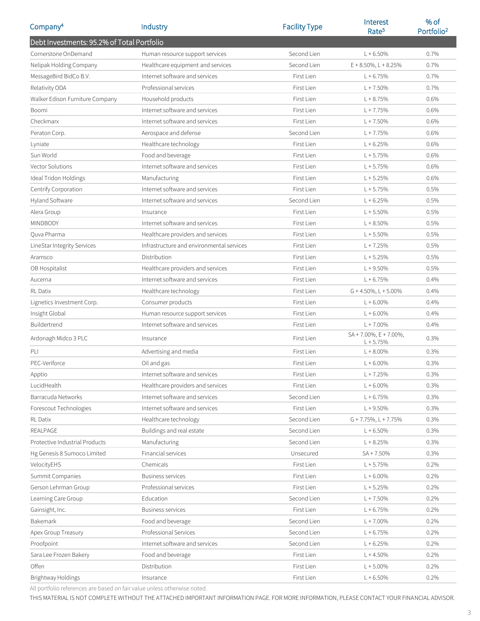| Company <sup>4</sup>                       | Industry                                  | <b>Facility Type</b> | <b>Interest</b><br>Rate <sup>5</sup>          | % of<br>Portfolio <sup>2</sup> |
|--------------------------------------------|-------------------------------------------|----------------------|-----------------------------------------------|--------------------------------|
| Debt Investments: 95.2% of Total Portfolio |                                           |                      |                                               |                                |
| Cornerstone OnDemand                       | Human resource support services           | Second Lien          | $L + 6.50%$                                   | 0.7%                           |
| Nelipak Holding Company                    | Healthcare equipment and services         | Second Lien          | $E + 8.50\%$ , L + 8.25%                      | 0.7%                           |
| MessageBird BidCo B.V.                     | Internet software and services            | First Lien           | $L + 6.75%$                                   | 0.7%                           |
| Relativity ODA                             | Professional services                     | First Lien           | $L + 7.50%$                                   | 0.7%                           |
| Walker Edison Furniture Company            | Household products                        | First Lien           | $L + 8.75%$                                   | 0.6%                           |
| Boomi                                      | Internet software and services            | First Lien           | $L + 7.75%$                                   | 0.6%                           |
| Checkmarx                                  | Internet software and services            | First Lien           | $L + 7.50%$                                   | 0.6%                           |
| Peraton Corp.                              | Aerospace and defense                     | Second Lien          | $L + 7.75%$                                   | 0.6%                           |
| Lyniate                                    | Healthcare technology                     | First Lien           | $L + 6.25%$                                   | 0.6%                           |
| Sun World                                  | Food and beverage                         | First Lien           | $L + 5.75%$                                   | 0.6%                           |
| Vector Solutions                           | Internet software and services            | First Lien           | $L + 5.75%$                                   | 0.6%                           |
| Ideal Tridon Holdings                      | Manufacturing                             | First Lien           | $L + 5.25%$                                   | 0.6%                           |
| Centrify Corporation                       | Internet software and services            | First Lien           | $L + 5.75%$                                   | 0.5%                           |
| Hyland Software                            | Internet software and services            | Second Lien          | $L + 6.25%$                                   | 0.5%                           |
| Alera Group                                | Insurance                                 | First Lien           | $L + 5.50%$                                   | 0.5%                           |
| MINDBODY                                   | Internet software and services            | First Lien           | $L + 8.50%$                                   | 0.5%                           |
| Ouva Pharma                                | Healthcare providers and services         | First Lien           | $L + 5.50%$                                   | 0.5%                           |
| LineStar Integrity Services                | Infrastructure and environmental services | First Lien           | $L + 7.25%$                                   | 0.5%                           |
| Aramsco                                    | Distribution                              | First Lien           | $L + 5.25%$                                   | 0.5%                           |
| OB Hospitalist                             | Healthcare providers and services         | First Lien           | $L + 9.50%$                                   | 0.5%                           |
| Aucerna                                    | Internet software and services            | First Lien           | $L + 6.75%$                                   | 0.4%                           |
| <b>RL</b> Datix                            | Healthcare technology                     | First Lien           | $G + 4.50\%$ , L + 5.00%                      | 0.4%                           |
| Lignetics Investment Corp.                 | Consumer products                         | First Lien           | $L + 6.00\%$                                  | 0.4%                           |
| Insight Global                             | Human resource support services           | First Lien           | $L + 6.00\%$                                  | 0.4%                           |
| Buildertrend                               | Internet software and services            | First Lien           | $L + 7.00\%$                                  | 0.4%                           |
| Ardonagh Midco 3 PLC                       | Insurance                                 | First Lien           | $SA + 7.00\%$ , $E + 7.00\%$ ,<br>$L + 5.75%$ | 0.3%                           |
| PLI                                        | Advertising and media                     | First Lien           | $L + 8.00\%$                                  | 0.3%                           |
| PEC-Veriforce                              | Oil and gas                               | First Lien           | $L + 6.00\%$                                  | 0.3%                           |
| Apptio                                     | Internet software and services            | First Lien           | $L + 7.25%$                                   | 0.3%                           |
| LucidHealth                                | Healthcare providers and services         | First Lien           | $L + 6.00%$                                   | 0.3%                           |
| Barracuda Networks                         | Internet software and services            | Second Lien          | $L + 6.75%$                                   | 0.3%                           |
| Forescout Technologies                     | Internet software and services            | First Lien           | $L + 9.50%$                                   | 0.3%                           |
| RL Datix                                   | Healthcare technology                     | Second Lien          | $G + 7.75\%$ , L + 7.75%                      | 0.3%                           |
| <b>REALPAGE</b>                            | Buildings and real estate                 | Second Lien          | $L + 6.50%$                                   | 0.3%                           |
| Protective Industrial Products             | Manufacturing                             | Second Lien          | $L + 8.25%$                                   | 0.3%                           |
| Hg Genesis 8 Sumoco Limited                | Financial services                        | Unsecured            | SA + 7.50%                                    | 0.3%                           |
| VelocityEHS                                | Chemicals                                 | First Lien           | $L + 5.75%$                                   | 0.2%                           |
| Summit Companies                           | <b>Business services</b>                  | First Lien           | $L + 6.00\%$                                  | 0.2%                           |
| Gerson Lehrman Group                       | Professional services                     | First Lien           | $L + 5.25%$                                   | 0.2%                           |
| Learning Care Group                        | Education                                 | Second Lien          | $L + 7.50%$                                   | 0.2%                           |
| Gainsight, Inc.                            | <b>Business services</b>                  | First Lien           | $L + 6.75%$                                   | 0.2%                           |
| Bakemark                                   | Food and beverage                         | Second Lien          | $L + 7.00\%$                                  | 0.2%                           |
| Apex Group Treasury                        | Professional Services                     | Second Lien          | $L + 6.75%$                                   | 0.2%                           |
| Proofpoint                                 | Internet software and services            | Second Lien          | $L + 6.25%$                                   | 0.2%                           |
| Sara Lee Frozen Bakery                     | Food and beverage                         | First Lien           | $L + 4.50%$                                   | 0.2%                           |
| Offen                                      | Distribution                              | First Lien           | $L + 5.00%$                                   | 0.2%                           |
| Brightway Holdings                         | Insurance                                 | First Lien           | $L + 6.50%$                                   | 0.2%                           |

All portfolio references are based on fair value unless otherwise noted.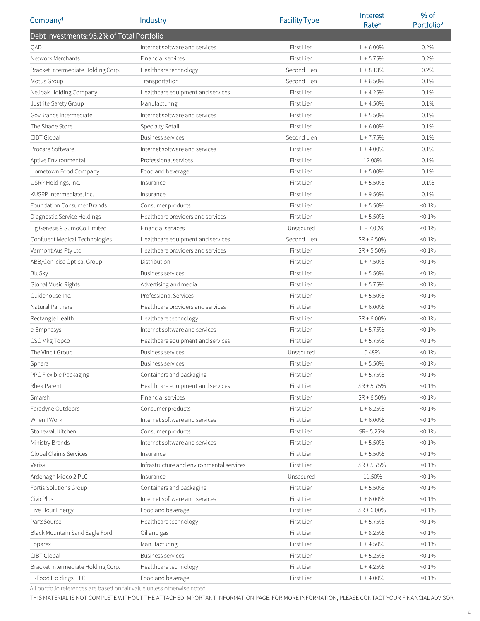| Company <sup>4</sup>                       | Industry                                  | <b>Facility Type</b> | Interest<br>Rate <sup>5</sup> | % of<br>Portfolio <sup>2</sup> |
|--------------------------------------------|-------------------------------------------|----------------------|-------------------------------|--------------------------------|
| Debt Investments: 95.2% of Total Portfolio |                                           |                      |                               |                                |
| QAD                                        | Internet software and services            | First Lien           | $L + 6.00\%$                  | 0.2%                           |
| Network Merchants                          | Financial services                        | First Lien           | $L + 5.75%$                   | 0.2%                           |
| Bracket Intermediate Holding Corp.         | Healthcare technology                     | Second Lien          | $L + 8.13%$                   | 0.2%                           |
| Motus Group                                | Transportation                            | Second Lien          | $L + 6.50%$                   | 0.1%                           |
| Nelipak Holding Company                    | Healthcare equipment and services         | First Lien           | $L + 4.25%$                   | 0.1%                           |
| Justrite Safety Group                      | Manufacturing                             | First Lien           | $L + 4.50%$                   | 0.1%                           |
| GovBrands Intermediate                     | Internet software and services            | First Lien           | $L + 5.50%$                   | 0.1%                           |
| The Shade Store                            | Specialty Retail                          | First Lien           | $L + 6.00\%$                  | 0.1%                           |
| CIBT Global                                | <b>Business services</b>                  | Second Lien          | $L + 7.75%$                   | 0.1%                           |
| Procare Software                           | Internet software and services            | First Lien           | $L + 4.00\%$                  | 0.1%                           |
| Aptive Environmental                       | Professional services                     | First Lien           | 12.00%                        | 0.1%                           |
| Hometown Food Company                      | Food and beverage                         | First Lien           | $L + 5.00\%$                  | 0.1%                           |
| USRP Holdings, Inc.                        | Insurance                                 | First Lien           | $L + 5.50%$                   | 0.1%                           |
| KUSRP Intermediate, Inc.                   | Insurance                                 | First Lien           | $L + 9.50%$                   | 0.1%                           |
| Foundation Consumer Brands                 | Consumer products                         | First Lien           | $L + 5.50%$                   | $< 0.1\%$                      |
| Diagnostic Service Holdings                | Healthcare providers and services         | First Lien           | $L + 5.50%$                   | $< 0.1\%$                      |
| Hg Genesis 9 SumoCo Limited                | Financial services                        | Unsecured            | $E + 7.00\%$                  | $< 0.1\%$                      |
| Confluent Medical Technologies             | Healthcare equipment and services         | Second Lien          | $SR + 6.50%$                  | $< 0.1\%$                      |
| Vermont Aus Pty Ltd                        | Healthcare providers and services         | First Lien           | $SR + 5.50\%$                 | $< 0.1\%$                      |
| ABB/Con-cise Optical Group                 | Distribution                              | First Lien           | $L + 7.50\%$                  | $< 0.1\%$                      |
| BluSky                                     | <b>Business services</b>                  | First Lien           | $L + 5.50%$                   | $< 0.1\%$                      |
| Global Music Rights                        | Advertising and media                     | First Lien           | $L + 5.75%$                   | $< 0.1\%$                      |
| Guidehouse Inc.                            | Professional Services                     | First Lien           | $L + 5.50%$                   | $< 0.1\%$                      |
| Natural Partners                           | Healthcare providers and services         | First Lien           | $L + 6.00\%$                  | $< 0.1\%$                      |
| Rectangle Health                           | Healthcare technology                     | First Lien           | $SR + 6.00\%$                 | $< 0.1\%$                      |
| e-Emphasys                                 | Internet software and services            | First Lien           | $L + 5.75%$                   | $< 0.1\%$                      |
| CSC Mkg Topco                              | Healthcare equipment and services         | First Lien           | $L + 5.75%$                   | $< 0.1\%$                      |
| The Vincit Group                           | <b>Business services</b>                  | Unsecured            | 0.48%                         | $< 0.1\%$                      |
| Sphera                                     | <b>Business services</b>                  | First Lien           | $L + 5.50%$                   | $< 0.1\%$                      |
| PPC Flexible Packaging                     | Containers and packaging                  | First Lien           | $L + 5.75%$                   | $< 0.1\%$                      |
| Rhea Parent                                | Healthcare equipment and services         | First Lien           | $SR + 5.75%$                  | $< 0.1\%$                      |
| Smarsh                                     | Financial services                        | First Lien           | $SR + 6.50\%$                 | $< 0.1\%$                      |
| Feradyne Outdoors                          | Consumer products                         | First Lien           | $L + 6.25%$                   | $< 0.1\%$                      |
| When I Work                                | Internet software and services            | First Lien           | $L + 6.00\%$                  | $< 0.1\%$                      |
| Stonewall Kitchen                          | Consumer products                         | First Lien           | SR+ 5.25%                     | $< 0.1\%$                      |
| Ministry Brands                            | Internet software and services            | First Lien           | $L + 5.50%$                   | $< 0.1\%$                      |
| Global Claims Services                     | Insurance                                 | First Lien           | $L + 5.50%$                   | $< 0.1\%$                      |
| Verisk                                     | Infrastructure and environmental services | First Lien           | $SR + 5.75%$                  | $< 0.1\%$                      |
| Ardonagh Midco 2 PLC                       | Insurance                                 | Unsecured            | 11.50%                        | $< 0.1\%$                      |
| Fortis Solutions Group                     | Containers and packaging                  | First Lien           | $L + 5.50%$                   | $< 0.1\%$                      |
| CivicPlus                                  | Internet software and services            | First Lien           | $L + 6.00\%$                  | $< 0.1\%$                      |
| Five Hour Energy                           | Food and beverage                         | First Lien           | $SR + 6.00\%$                 | $< 0.1\%$                      |
| PartsSource                                | Healthcare technology                     | First Lien           | $L + 5.75%$                   | $< 0.1\%$                      |
| Black Mountain Sand Eagle Ford             | Oil and gas                               | First Lien           | $L + 8.25%$                   | $< 0.1\%$                      |
| Loparex                                    | Manufacturing                             | First Lien           | $L + 4.50%$                   | $< 0.1\%$                      |
| CIBT Global                                | <b>Business services</b>                  | First Lien           | $L + 5.25%$                   | $< 0.1\%$                      |
| Bracket Intermediate Holding Corp.         | Healthcare technology                     | First Lien           | $L + 4.25%$                   | $< 0.1\%$                      |
| H-Food Holdings, LLC                       | Food and beverage                         | First Lien           | $L + 4.00\%$                  | $< 0.1\%$                      |

All portfolio references are based on fair value unless otherwise noted.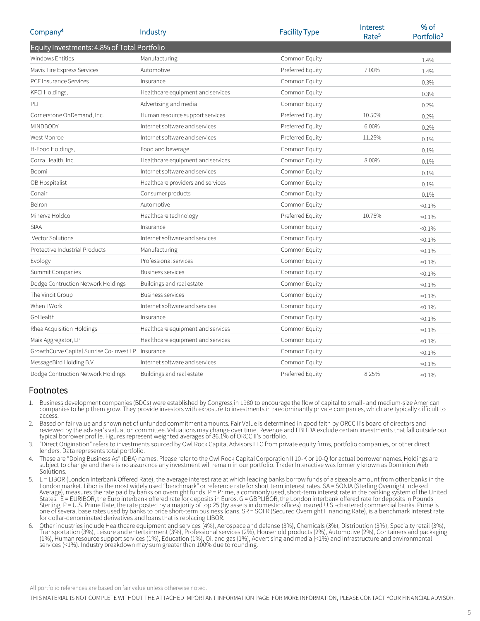| Company <sup>4</sup>                        | Industry                          | <b>Facility Type</b> | Interest<br>Rate <sup>5</sup> | % of<br>Portfolio <sup>2</sup> |
|---------------------------------------------|-----------------------------------|----------------------|-------------------------------|--------------------------------|
| Equity Investments: 4.8% of Total Portfolio |                                   |                      |                               |                                |
| <b>Windows Entities</b>                     | Manufacturing                     | Common Equity        |                               | 1.4%                           |
| Mavis Tire Express Services                 | Automotive                        | Preferred Equity     | 7.00%                         | 1.4%                           |
| <b>PCF Insurance Services</b>               | Insurance                         | Common Equity        |                               | 0.3%                           |
| KPCI Holdings,                              | Healthcare equipment and services | Common Equity        |                               | 0.3%                           |
| PLI                                         | Advertising and media             | Common Equity        |                               | 0.2%                           |
| Cornerstone OnDemand, Inc.                  | Human resource support services   | Preferred Equity     | 10.50%                        | 0.2%                           |
| <b>MINDBODY</b>                             | Internet software and services    | Preferred Equity     | 6.00%                         | 0.2%                           |
| West Monroe                                 | Internet software and services    | Preferred Equity     | 11.25%                        | 0.1%                           |
| H-Food Holdings,                            | Food and beverage                 | Common Equity        |                               | 0.1%                           |
| Corza Health, Inc.                          | Healthcare equipment and services | Common Equity        | 8.00%                         | 0.1%                           |
| Boomi                                       | Internet software and services    | Common Equity        |                               | 0.1%                           |
| OB Hospitalist                              | Healthcare providers and services | Common Equity        |                               | 0.1%                           |
| Conair                                      | Consumer products                 | Common Equity        |                               | 0.1%                           |
| Belron                                      | Automotive                        | Common Equity        |                               | $< 0.1\%$                      |
| Minerva Holdco                              | Healthcare technology             | Preferred Equity     | 10.75%                        | $< 0.1\%$                      |
| <b>SIAA</b>                                 | Insurance                         | Common Equity        |                               | $< 0.1\%$                      |
| Vector Solutions                            | Internet software and services    | Common Equity        |                               | $< 0.1\%$                      |
| Protective Industrial Products              | Manufacturing                     | Common Equity        |                               | $< 0.1\%$                      |
| Evology                                     | Professional services             | Common Equity        |                               | $< 0.1\%$                      |
| Summit Companies                            | <b>Business services</b>          | Common Equity        |                               | $< 0.1\%$                      |
| Dodge Contruction Network Holdings          | Buildings and real estate         | Common Equity        |                               | $< 0.1\%$                      |
| The Vincit Group                            | <b>Business services</b>          | Common Equity        |                               | $< 0.1\%$                      |
| When I Work                                 | Internet software and services    | Common Equity        |                               | $< 0.1\%$                      |
| GoHealth                                    | Insurance                         | Common Equity        |                               | $< 0.1\%$                      |
| Rhea Acquisition Holdings                   | Healthcare equipment and services | Common Equity        |                               | $< 0.1\%$                      |
| Maia Aggregator, LP                         | Healthcare equipment and services | Common Equity        |                               | $< 0.1\%$                      |
| GrowthCurve Capital Sunrise Co-Invest LP    | Insurance                         | Common Equity        |                               | $< 0.1\%$                      |
| MessageBird Holding B.V.                    | Internet software and services    | Common Equity        |                               | $< 0.1\%$                      |
| Dodge Contruction Network Holdings          | Buildings and real estate         | Preferred Equity     | 8.25%                         | $< 0.1\%$                      |

#### Footnotes

- 1. Business development companies (BDCs) were established by Congress in 1980 to encourage the flow of capital to small- and medium-size American companies to help them grow. They provide investors with exposure to investments in predominantly private companies, which are typically difficult to access.
- 2. Based on fair value and shown net of unfunded commitment amounts. Fair Value is determined in good faith by ORCC II's board of directors and reviewed by the adviser's valuation committee. Valuations may change over time. Revenue and EBITDA exclude certain investments that fall outside our typical borrower profile. Figures represent weighted averages of 86.1% of ORCC II's portfolio.
- 3. "Direct Origination" refers to investments sourced by Owl Rock Capital Advisors LLC from private equity firms, portfolio companies, or other direct lenders. Data represents total portfolio.
- 4. These are "Doing Business As" (DBA) names. Please refer to the Owl Rock Capital Corporation II 10-K or 10-Q for actual borrower names. Holdings are subject to change and there is no assurance any investment will remain in our portfolio. Trader Interactive was formerly known as Dominion Web Solutions.
- 5. L = LIBOR (London Interbank Offered Rate), the average interest rate at which leading banks borrow funds of a sizeable amount from other banks in the London market. Libor is the most widely used "benchmark" or reference rate for short term interest rates. SA = SONIA (Sterling Overnight Indexed Average), measures the rate paid by banks on overnight funds. P = Prime, a commonly used, short-term interest rate in the banking system of the United States. E = EURIBOR, the Euro interbank offered rate for deposits in Euros. G = GBPLIBOR, the London interbank offered rate for deposits in Pounds Sterling. P = U.S. Prime Rate, the rate posted by a majority of top 25 (by assets in domestic offices) insured U.S.-chartered commercial banks. Prime is one of several base rates used by banks to price short-term business loans. SR = SOFR (Secured Overnight Financing Rate), is a benchmark interest rate for dollar-denominated derivatives and loans that is replacing LIBOR.
- 6. Other industries include Healthcare equipment and services (4%), Aerospace and defense (3%), Chemicals (3%), Distribution (3%), Specialty retail (3%), Transportation (3%), Leisure and entertainment (3%), Professional services (2%), Household products (2%), Automotive (2%), Containers and packaging (1%), Human resource support services (1%), Education (1%), Oil and gas (1%), Advertising and media (<1%) and Infrastructure and environmental services (<1%). Industry breakdown may sum greater than 100% due to rounding.